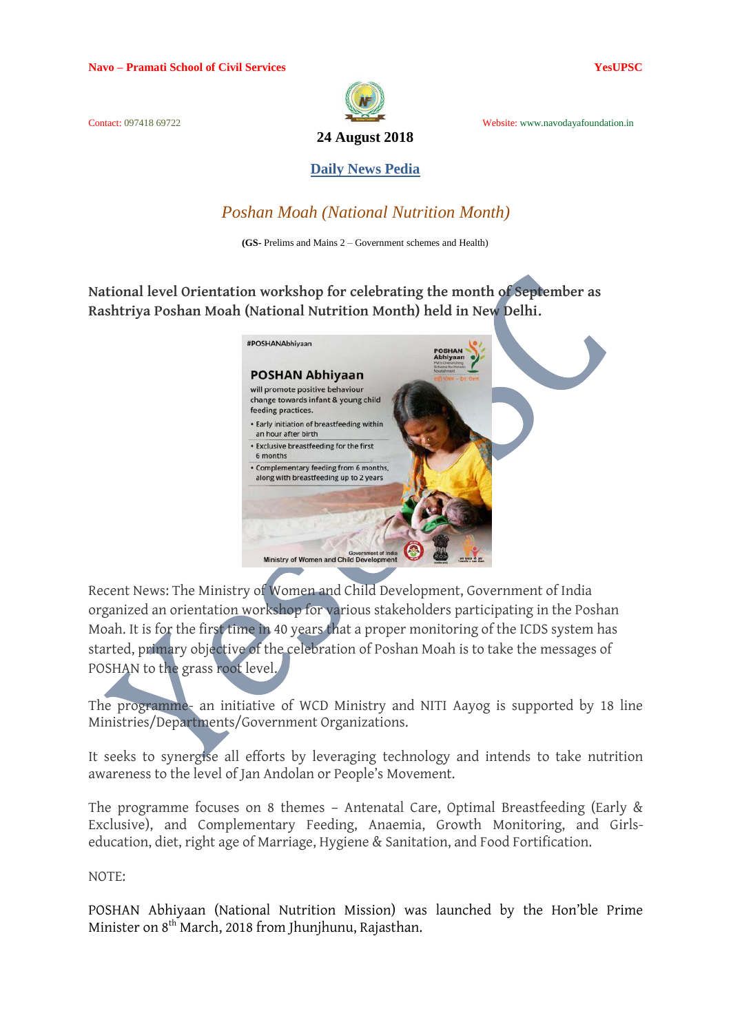

Contact: 097418 69722 Website: www.navodayafoundation.in

### **Daily News Pedia**

## *Poshan Moah (National Nutrition Month)*

**(GS-** Prelims and Mains 2 – Government schemes and Health)

**National level Orientation workshop for celebrating the month of September as Rashtriya Poshan Moah (National Nutrition Month) held in New Delhi.**



Recent News: The Ministry of Women and Child Development, Government of India organized an orientation workshop for various stakeholders participating in the Poshan Moah. It is for the first time in 40 years that a proper monitoring of the ICDS system has started, primary objective of the celebration of Poshan Moah is to take the messages of POSHAN to the grass root level.

The programme- an initiative of WCD Ministry and NITI Aayog is supported by 18 line Ministries/Departments/Government Organizations.

It seeks to synergise all efforts by leveraging technology and intends to take nutrition awareness to the level of Jan Andolan or People's Movement.

The programme focuses on 8 themes – Antenatal Care, Optimal Breastfeeding (Early & Exclusive), and Complementary Feeding, Anaemia, Growth Monitoring, and Girlseducation, diet, right age of Marriage, Hygiene & Sanitation, and Food Fortification.

NOTE:

POSHAN Abhiyaan (National Nutrition Mission) was launched by the Hon'ble Prime Minister on 8<sup>th</sup> March, 2018 from Jhunjhunu, Rajasthan.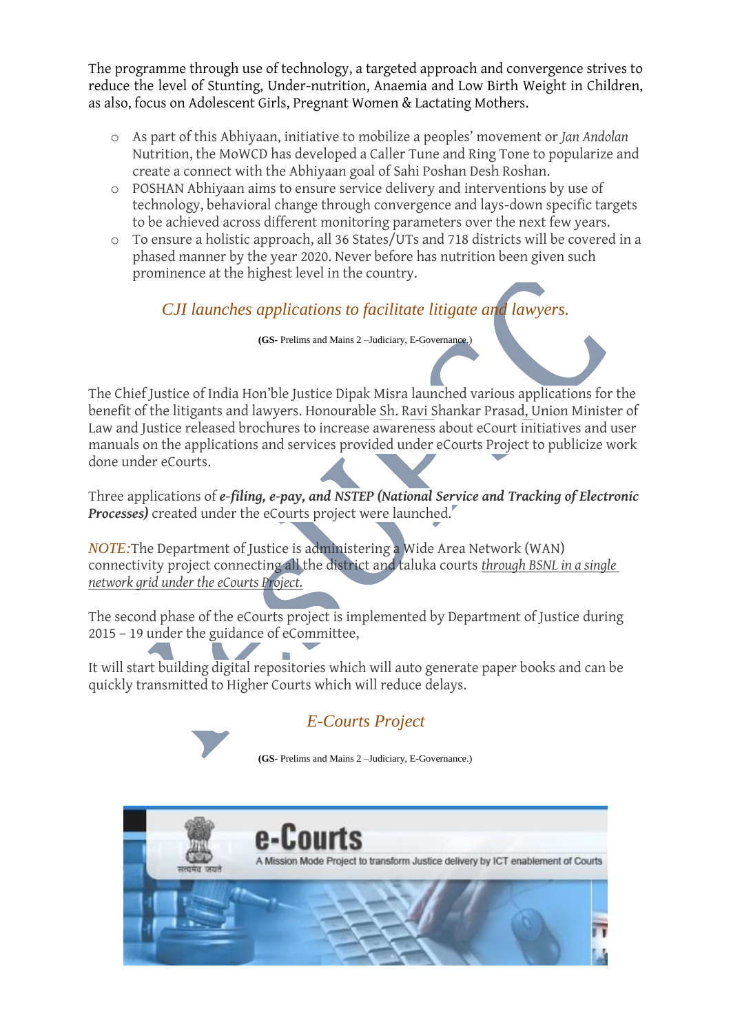The programme through use of technology, a targeted approach and convergence strives to reduce the level of Stunting, Under-nutrition, Anaemia and Low Birth Weight in Children, as also, focus on Adolescent Girls, Pregnant Women & Lactating Mothers.

- o As part of this Abhiyaan, initiative to mobilize a peoples' movement or *Jan Andolan* Nutrition, the MoWCD has developed a Caller Tune and Ring Tone to popularize and create a connect with the Abhiyaan goal of Sahi Poshan Desh Roshan.
- o POSHAN Abhiyaan aims to ensure service delivery and interventions by use of technology, behavioral change through convergence and lays-down specific targets to be achieved across different monitoring parameters over the next few years.
- o To ensure a holistic approach, all 36 States/UTs and 718 districts will be covered in a phased manner by the year 2020. Never before has nutrition been given such prominence at the highest level in the country.

*CJI launches applications to facilitate litigate and lawyers.*

**(GS-** Prelims and Mains 2 –Judiciary, E-Governance.)

The Chief Justice of India Hon'ble Justice Dipak Misra launched various applications for the benefit of the litigants and lawyers. Honourable Sh. Ravi Shankar Prasad, Union Minister of Law and Justice released brochures to increase awareness about eCourt initiatives and user manuals on the applications and services provided under eCourts Project to publicize work done under eCourts.

Three applications of *e-filing, e-pay, and NSTEP (National Service and Tracking of Electronic Processes)* created under the eCourts project were launched.

*NOTE:*The Department of Justice is administering a Wide Area Network (WAN) connectivity project connecting all the district and taluka courts *through BSNL in a single network grid under the eCourts Project.*

The second phase of the eCourts project is implemented by Department of Justice during 2015 – 19 under the guidance of eCommittee,

It will start building digital repositories which will auto generate paper books and can be quickly transmitted to Higher Courts which will reduce delays.

# *E-Courts Project*

**(GS-** Prelims and Mains 2 –Judiciary, E-Governance.)

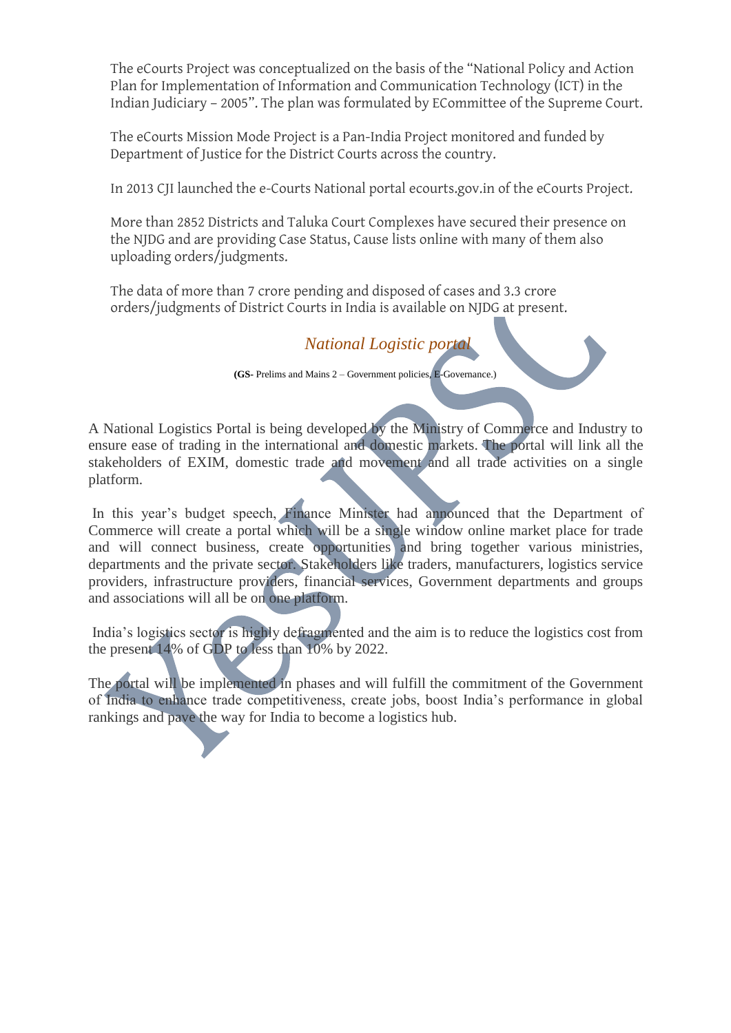The eCourts Project was conceptualized on the basis of the "National Policy and Action Plan for Implementation of Information and Communication Technology (ICT) in the Indian Judiciary – 2005". The plan was formulated by ECommittee of the Supreme Court.

The eCourts Mission Mode Project is a Pan-India Project monitored and funded by Department of Justice for the District Courts across the country.

In 2013 CJI launched the e-Courts National portal ecourts.gov.in of the eCourts Project.

More than 2852 Districts and Taluka Court Complexes have secured their presence on the NJDG and are providing Case Status, Cause lists online with many of them also uploading orders/judgments.

The data of more than 7 crore pending and disposed of cases and 3.3 crore orders/judgments of District Courts in India is available on NJDG at present.

*National Logistic portal*

**(GS-** Prelims and Mains 2 – Government policies, E-Governance.)

A National Logistics Portal is being developed by the Ministry of Commerce and Industry to ensure ease of trading in the international and domestic markets. The portal will link all the stakeholders of EXIM, domestic trade and movement and all trade activities on a single platform.

In this year's budget speech, Finance Minister had announced that the Department of Commerce will create a portal which will be a single window online market place for trade and will connect business, create opportunities and bring together various ministries, departments and the private sector. Stakeholders like traders, manufacturers, logistics service providers, infrastructure providers, financial services, Government departments and groups and associations will all be on one platform.

India's logistics sector is highly defragmented and the aim is to reduce the logistics cost from the present 14% of GDP to less than 10% by 2022.

The portal will be implemented in phases and will fulfill the commitment of the Government of India to enhance trade competitiveness, create jobs, boost India's performance in global rankings and pave the way for India to become a logistics hub.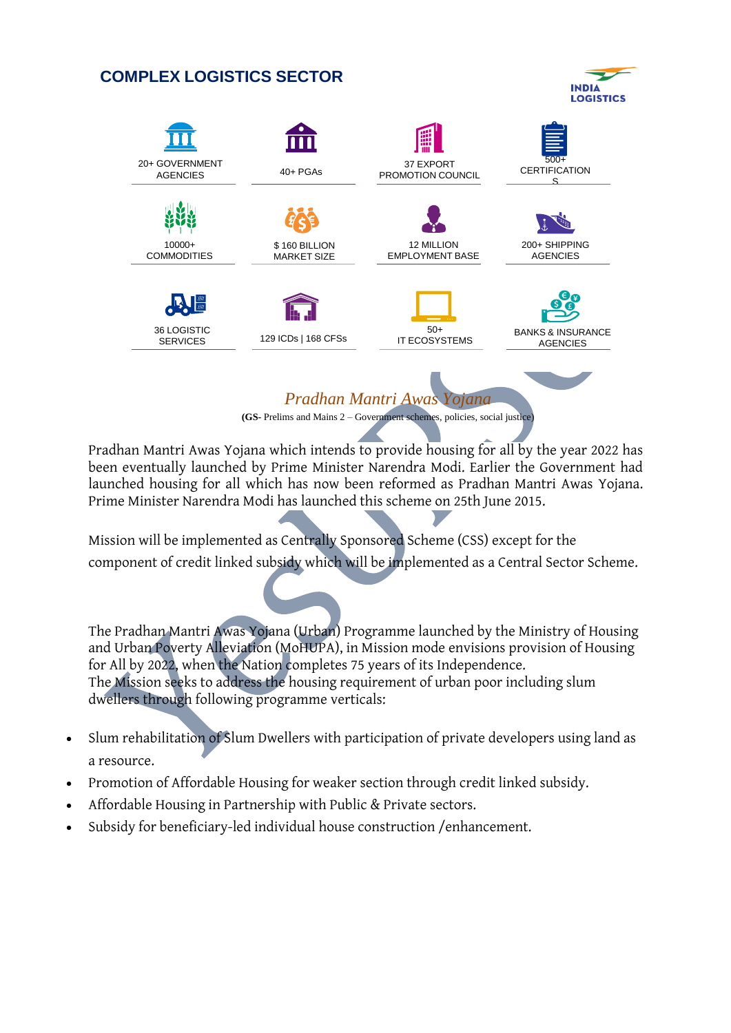# **COMPLEX LOGISTICS SECTOR**





*Pradhan Mantri Awas Yojana*

**(GS-** Prelims and Mains 2 – Government schemes, policies, social justice)

Pradhan Mantri Awas Yojana which intends to provide housing for all by the year 2022 has been eventually launched by Prime Minister Narendra Modi. Earlier the Government had launched housing for all which has now been reformed as Pradhan Mantri Awas Yojana. Prime Minister Narendra Modi has launched this scheme on 25th June 2015.

Mission will be implemented as Centrally Sponsored Scheme (CSS) except for the component of credit linked subsidy which will be implemented as a Central Sector Scheme.

The Pradhan Mantri Awas Yojana (Urban) Programme launched by the Ministry of Housing and Urban Poverty Alleviation (MoHUPA), in Mission mode envisions provision of Housing for All by 2022, when the Nation completes 75 years of its Independence. The Mission seeks to address the housing requirement of urban poor including slum dwellers through following programme verticals:

- Slum rehabilitation of Slum Dwellers with participation of private developers using land as a resource.
- Promotion of Affordable Housing for weaker section through credit linked subsidy.
- Affordable Housing in Partnership with Public & Private sectors.
- Subsidy for beneficiary-led individual house construction /enhancement.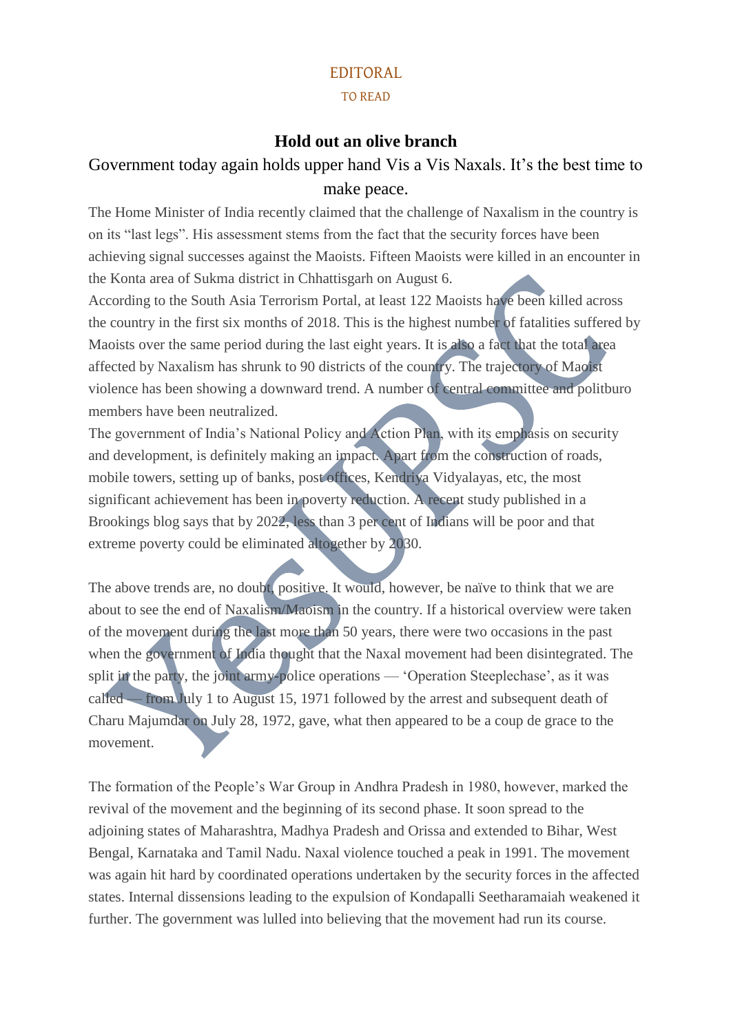#### EDITORAL

#### TO READ

### **Hold out an olive branch**

# Government today again holds upper hand Vis a Vis Naxals. It's the best time to make peace.

The Home Minister of India recently claimed that the challenge of Naxalism in the country is on its "last legs". His assessment stems from the fact that the security forces have been achieving signal successes against the Maoists. Fifteen Maoists were killed in an encounter in the Konta area of Sukma district in Chhattisgarh on August 6.

According to the South Asia Terrorism Portal, at least 122 Maoists have been killed across the country in the first six months of 2018. This is the highest number of fatalities suffered by Maoists over the same period during the last eight years. It is also a fact that the total area affected by Naxalism has shrunk to 90 districts of the country. The trajectory of Maoist violence has been showing a downward trend. A number of central committee and politburo members have been neutralized.

The government of India's National Policy and Action Plan, with its emphasis on security and development, is definitely making an impact. Apart from the construction of roads, mobile towers, setting up of banks, post offices, Kendriya Vidyalayas, etc, the most significant achievement has been in poverty reduction. A recent study published in a Brookings blog says that by 2022, less than 3 per cent of Indians will be poor and that extreme poverty could be eliminated altogether by 2030.

The above trends are, no doubt, positive. It would, however, be naïve to think that we are about to see the end of Naxalism/Maoism in the country. If a historical overview were taken of the movement during the last more than 50 years, there were two occasions in the past when the government of India thought that the Naxal movement had been disintegrated. The split in the party, the joint army-police operations — 'Operation Steeplechase', as it was called — from July 1 to August 15, 1971 followed by the arrest and subsequent death of Charu Majumdar on July 28, 1972, gave, what then appeared to be a coup de grace to the movement.

The formation of the People's War Group in Andhra Pradesh in 1980, however, marked the revival of the movement and the beginning of its second phase. It soon spread to the adjoining states of Maharashtra, Madhya Pradesh and Orissa and extended to Bihar, West Bengal, Karnataka and Tamil Nadu. Naxal violence touched a peak in 1991. The movement was again hit hard by coordinated operations undertaken by the security forces in the affected states. Internal dissensions leading to the expulsion of Kondapalli Seetharamaiah weakened it further. The government was lulled into believing that the movement had run its course.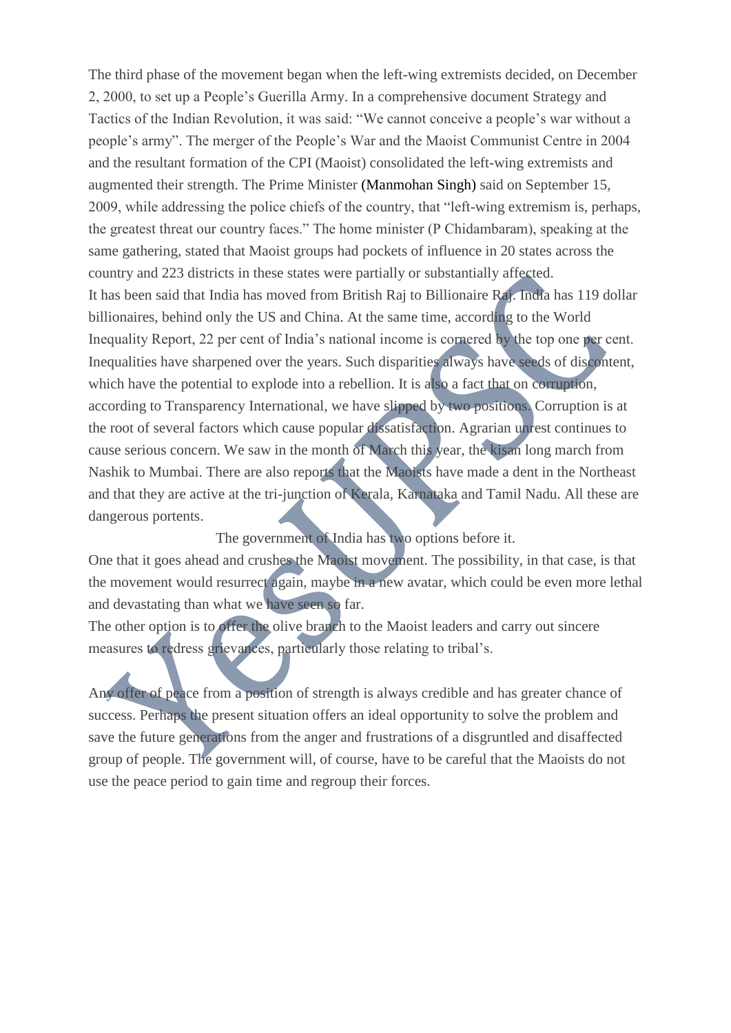The third phase of the movement began when the left-wing extremists decided, on December 2, 2000, to set up a People's Guerilla Army. In a comprehensive document Strategy and Tactics of the Indian Revolution, it was said: "We cannot conceive a people's war without a people's army". The merger of the People's War and the Maoist Communist Centre in 2004 and the resultant formation of the CPI (Maoist) consolidated the left-wing extremists and augmented their strength. The Prime Minister [\(Manmohan Singh\)](https://indianexpress.com/about/manmohan-singh) said on September 15, 2009, while addressing the police chiefs of the country, that "left-wing extremism is, perhaps, the greatest threat our country faces." The home minister (P Chidambaram), speaking at the same gathering, stated that Maoist groups had pockets of influence in 20 states across the country and 223 districts in these states were partially or substantially affected. It has been said that India has moved from British Raj to Billionaire Raj. India has 119 dollar billionaires, behind only the US and China. At the same time, according to the World Inequality Report, 22 per cent of India's national income is cornered by the top one per cent. Inequalities have sharpened over the years. Such disparities always have seeds of discontent, which have the potential to explode into a rebellion. It is also a fact that on corruption, according to Transparency International, we have slipped by two positions. Corruption is at the root of several factors which cause popular dissatisfaction. Agrarian unrest continues to cause serious concern. We saw in the month of March this year, the kisan long march from Nashik to Mumbai. There are also reports that the Maoists have made a dent in the Northeast and that they are active at the tri-junction of Kerala, Karnataka and Tamil Nadu. All these are dangerous portents.

The government of India has two options before it.

One that it goes ahead and crushes the Maoist movement. The possibility, in that case, is that the movement would resurrect again, maybe in a new avatar, which could be even more lethal and devastating than what we have seen so far.

The other option is to offer the olive branch to the Maoist leaders and carry out sincere measures to redress grievances, particularly those relating to tribal's.

Any offer of peace from a position of strength is always credible and has greater chance of success. Perhaps the present situation offers an ideal opportunity to solve the problem and save the future generations from the anger and frustrations of a disgruntled and disaffected group of people. The government will, of course, have to be careful that the Maoists do not use the peace period to gain time and regroup their forces.